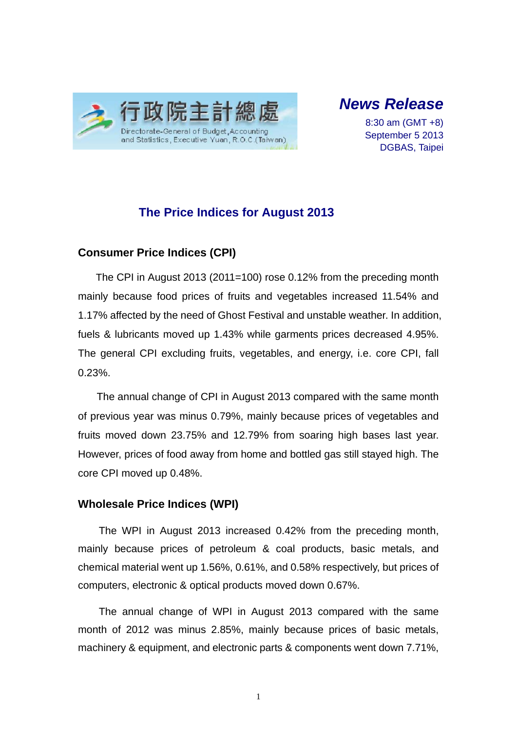

# *News Release*

8:30 am (GMT +8) September 5 2013 DGBAS, Taipei

## **The Price Indices for August 2013**

## **Consumer Price Indices (CPI)**

The CPI in August 2013 (2011=100) rose 0.12% from the preceding month mainly because food prices of fruits and vegetables increased 11.54% and 1.17% affected by the need of Ghost Festival and unstable weather. In addition, fuels & lubricants moved up 1.43% while garments prices decreased 4.95%. The general CPI excluding fruits, vegetables, and energy, i.e. core CPI, fall 0.23%.

The annual change of CPI in August 2013 compared with the same month of previous year was minus 0.79%, mainly because prices of vegetables and fruits moved down 23.75% and 12.79% from soaring high bases last year. However, prices of food away from home and bottled gas still stayed high. The core CPI moved up 0.48%.

### **Wholesale Price Indices (WPI)**

The WPI in August 2013 increased 0.42% from the preceding month, mainly because prices of petroleum & coal products, basic metals, and chemical material went up 1.56%, 0.61%, and 0.58% respectively, but prices of computers, electronic & optical products moved down 0.67%.

The annual change of WPI in August 2013 compared with the same month of 2012 was minus 2.85%, mainly because prices of basic metals, machinery & equipment, and electronic parts & components went down 7.71%,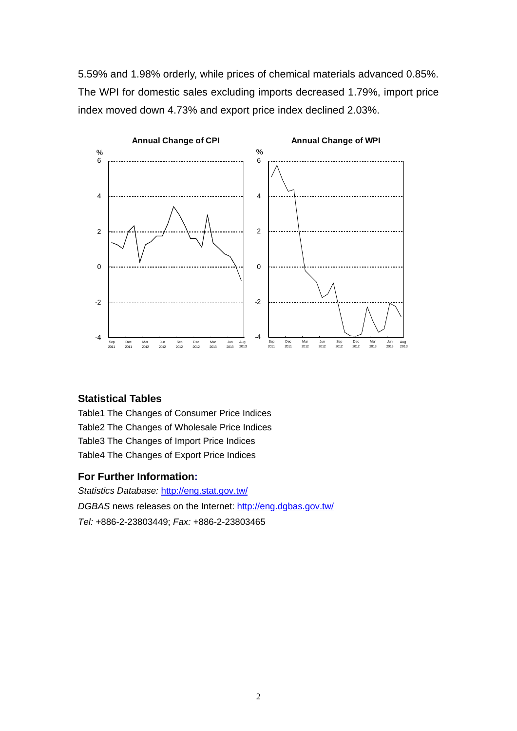5.59% and 1.98% orderly, while prices of chemical materials advanced 0.85%. The WPI for domestic sales excluding imports decreased 1.79%, import price index moved down 4.73% and export price index declined 2.03%.



#### **Statistical Tables**

Table1 The Changes of Consumer Price Indices Table2 The Changes of Wholesale Price Indices Table3 The Changes of Import Price Indices Table4 The Changes of Export Price Indices

#### **For Further Information:**

*Statistics Database:* http://eng.stat.gov.tw/ *DGBAS* news releases on the Internet: http://eng.dgbas.gov.tw/ *Tel:* +886-2-23803449; *Fax:* +886-2-23803465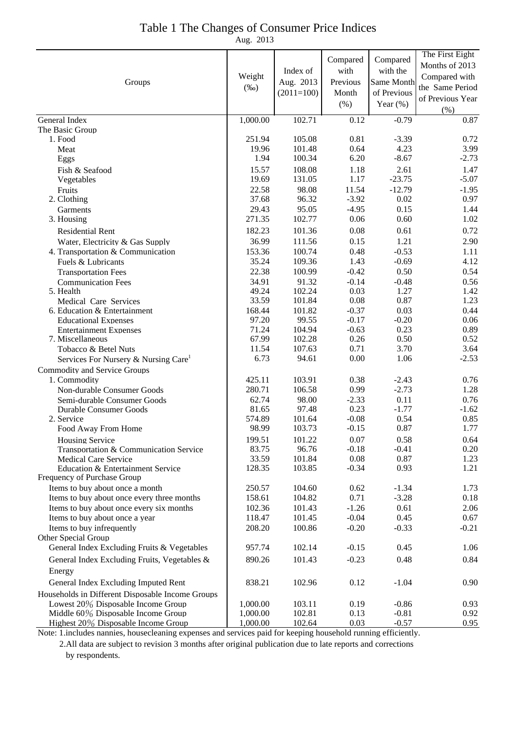## Table 1 The Changes of Consumer Price Indices

Aug. 2013

| Groups                                                                                 | Weight<br>$(\%0)$ | Index of<br>Aug. 2013<br>$(2011=100)$ | Compared<br>with<br>Previous<br>Month<br>(% ) | Compared<br>with the<br>Same Month<br>of Previous<br>Year $(\%)$ | The First Eight<br>Months of 2013<br>Compared with<br>the Same Period<br>of Previous Year<br>(%) |
|----------------------------------------------------------------------------------------|-------------------|---------------------------------------|-----------------------------------------------|------------------------------------------------------------------|--------------------------------------------------------------------------------------------------|
| General Index                                                                          | 1,000.00          | 102.71                                | 0.12                                          | $-0.79$                                                          | 0.87                                                                                             |
| The Basic Group                                                                        |                   |                                       |                                               |                                                                  |                                                                                                  |
| 1. Food                                                                                | 251.94            | 105.08                                | 0.81                                          | $-3.39$                                                          | 0.72                                                                                             |
| Meat                                                                                   | 19.96             | 101.48                                | 0.64                                          | 4.23                                                             | 3.99                                                                                             |
| Eggs                                                                                   | 1.94              | 100.34                                | 6.20                                          | $-8.67$                                                          | $-2.73$                                                                                          |
| Fish & Seafood                                                                         | 15.57             | 108.08                                | 1.18                                          | 2.61                                                             | 1.47                                                                                             |
| Vegetables                                                                             | 19.69             | 131.05                                | 1.17                                          | $-23.75$                                                         | $-5.07$                                                                                          |
| Fruits                                                                                 | 22.58             | 98.08                                 | 11.54                                         | $-12.79$                                                         | $-1.95$                                                                                          |
| 2. Clothing                                                                            | 37.68             | 96.32                                 | $-3.92$                                       | 0.02                                                             | 0.97                                                                                             |
| Garments<br>3. Housing                                                                 | 29.43<br>271.35   | 95.05<br>102.77                       | $-4.95$<br>0.06                               | 0.15<br>0.60                                                     | 1.44<br>1.02                                                                                     |
|                                                                                        |                   |                                       |                                               |                                                                  |                                                                                                  |
| <b>Residential Rent</b>                                                                | 182.23            | 101.36                                | 0.08                                          | 0.61                                                             | 0.72                                                                                             |
| Water, Electricity & Gas Supply                                                        | 36.99             | 111.56                                | 0.15                                          | 1.21                                                             | 2.90                                                                                             |
| 4. Transportation & Communication                                                      | 153.36            | 100.74                                | 0.48                                          | $-0.53$                                                          | 1.11                                                                                             |
| Fuels & Lubricants                                                                     | 35.24             | 109.36                                | 1.43<br>$-0.42$                               | $-0.69$                                                          | 4.12                                                                                             |
| <b>Transportation Fees</b>                                                             | 22.38<br>34.91    | 100.99<br>91.32                       | $-0.14$                                       | 0.50<br>$-0.48$                                                  | 0.54                                                                                             |
| <b>Communication Fees</b><br>5. Health                                                 | 49.24             | 102.24                                | 0.03                                          | 1.27                                                             | 0.56<br>1.42                                                                                     |
| Medical Care Services                                                                  | 33.59             | 101.84                                | 0.08                                          | 0.87                                                             | 1.23                                                                                             |
| 6. Education & Entertainment                                                           | 168.44            | 101.82                                | $-0.37$                                       | 0.03                                                             | 0.44                                                                                             |
| <b>Educational Expenses</b>                                                            | 97.20             | 99.55                                 | $-0.17$                                       | $-0.20$                                                          | 0.06                                                                                             |
| <b>Entertainment Expenses</b>                                                          | 71.24             | 104.94                                | $-0.63$                                       | 0.23                                                             | 0.89                                                                                             |
| 7. Miscellaneous                                                                       | 67.99             | 102.28                                | 0.26                                          | 0.50                                                             | 0.52                                                                                             |
| Tobacco & Betel Nuts                                                                   | 11.54             | 107.63                                | 0.71                                          | 3.70                                                             | 3.64                                                                                             |
| Services For Nursery & Nursing Care <sup>1</sup>                                       | 6.73              | 94.61                                 | 0.00                                          | 1.06                                                             | $-2.53$                                                                                          |
| <b>Commodity and Service Groups</b>                                                    |                   |                                       |                                               |                                                                  |                                                                                                  |
| 1. Commodity                                                                           | 425.11            | 103.91                                | 0.38                                          | $-2.43$                                                          | 0.76                                                                                             |
| Non-durable Consumer Goods                                                             | 280.71            | 106.58                                | 0.99                                          | $-2.73$                                                          | 1.28                                                                                             |
| Semi-durable Consumer Goods                                                            | 62.74             | 98.00                                 | $-2.33$                                       | 0.11                                                             | 0.76                                                                                             |
| Durable Consumer Goods                                                                 | 81.65             | 97.48                                 | 0.23                                          | $-1.77$                                                          | $-1.62$                                                                                          |
| 2. Service                                                                             | 574.89            | 101.64                                | $-0.08$                                       | 0.54                                                             | 0.85                                                                                             |
| Food Away From Home                                                                    | 98.99             | 103.73                                | $-0.15$                                       | 0.87                                                             | 1.77                                                                                             |
| <b>Housing Service</b>                                                                 | 199.51            | 101.22                                | 0.07                                          | 0.58                                                             | 0.64                                                                                             |
| Transportation & Communication Service                                                 | 83.75             | 96.76                                 | $-0.18$                                       | $-0.41$                                                          | 0.20                                                                                             |
| <b>Medical Care Service</b><br>Education & Entertainment Service                       | 33.59<br>128.35   | 101.84<br>103.85                      | 0.08<br>$-0.34$                               | 0.87<br>0.93                                                     | 1.23<br>1.21                                                                                     |
| Frequency of Purchase Group                                                            |                   |                                       |                                               |                                                                  |                                                                                                  |
| Items to buy about once a month                                                        | 250.57            | 104.60                                | 0.62                                          | $-1.34$                                                          | 1.73                                                                                             |
| Items to buy about once every three months                                             | 158.61            | 104.82                                | 0.71                                          | $-3.28$                                                          | 0.18                                                                                             |
| Items to buy about once every six months                                               | 102.36            | 101.43                                | $-1.26$                                       | 0.61                                                             | 2.06                                                                                             |
| Items to buy about once a year                                                         | 118.47            | 101.45                                | $-0.04$                                       | 0.45                                                             | 0.67                                                                                             |
| Items to buy infrequently                                                              | 208.20            | 100.86                                | $-0.20$                                       | $-0.33$                                                          | $-0.21$                                                                                          |
| Other Special Group                                                                    |                   |                                       |                                               |                                                                  |                                                                                                  |
| General Index Excluding Fruits & Vegetables                                            | 957.74            | 102.14                                | $-0.15$                                       | 0.45                                                             | 1.06                                                                                             |
| General Index Excluding Fruits, Vegetables &                                           | 890.26            | 101.43                                | $-0.23$                                       | 0.48                                                             | 0.84                                                                                             |
| Energy                                                                                 |                   |                                       |                                               |                                                                  |                                                                                                  |
| General Index Excluding Imputed Rent                                                   | 838.21            | 102.96                                | 0.12                                          | $-1.04$                                                          | 0.90                                                                                             |
|                                                                                        |                   |                                       |                                               |                                                                  |                                                                                                  |
| Households in Different Disposable Income Groups<br>Lowest 20% Disposable Income Group | 1,000.00          | 103.11                                | 0.19                                          | $-0.86$                                                          | 0.93                                                                                             |
| Middle 60% Disposable Income Group                                                     | 1,000.00          | 102.81                                | 0.13                                          | $-0.81$                                                          | 0.92                                                                                             |
| Highest 20% Disposable Income Group                                                    | 1,000.00          | 102.64                                | 0.03                                          | $-0.57$                                                          | 0.95                                                                                             |

Note: 1.includes nannies, housecleaning expenses and services paid for keeping household running efficiently.

 2.All data are subject to revision 3 months after original publication due to late reports and corrections by respondents.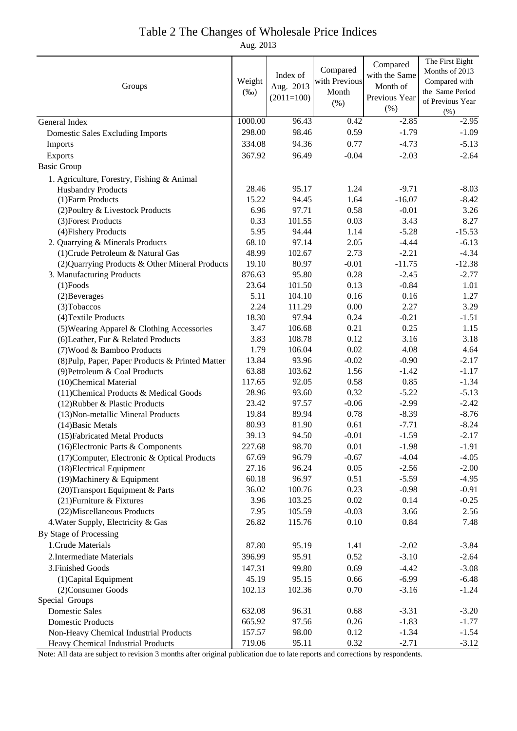#### Table 2 The Changes of Wholesale Price Indices

Aug. 2013

|                                                  |         |              |               | Compared      | The First Eight  |
|--------------------------------------------------|---------|--------------|---------------|---------------|------------------|
| Groups                                           |         | Index of     | Compared      | with the Same | Months of 2013   |
|                                                  |         | Aug. 2013    | with Previous | Month of      | Compared with    |
|                                                  | $(\%0)$ | $(2011=100)$ | Month         | Previous Year | the Same Period  |
|                                                  |         |              | (% )          | (% )          | of Previous Year |
|                                                  |         |              |               |               | (% )             |
| General Index                                    | 1000.00 | 96.43        | 0.42          | $-2.85$       | $-2.95$          |
| <b>Domestic Sales Excluding Imports</b>          | 298.00  | 98.46        | 0.59          | $-1.79$       | $-1.09$          |
| Imports                                          | 334.08  | 94.36        | 0.77          | $-4.73$       | $-5.13$          |
| Exports                                          | 367.92  | 96.49        | $-0.04$       | $-2.03$       | $-2.64$          |
| <b>Basic Group</b>                               |         |              |               |               |                  |
| 1. Agriculture, Forestry, Fishing & Animal       |         |              |               |               |                  |
| <b>Husbandry Products</b>                        | 28.46   | 95.17        | 1.24          | $-9.71$       | $-8.03$          |
| (1) Farm Products                                | 15.22   | 94.45        | 1.64          | $-16.07$      | $-8.42$          |
| (2) Poultry & Livestock Products                 | 6.96    | 97.71        | 0.58          | $-0.01$       | 3.26             |
| (3) Forest Products                              | 0.33    | 101.55       | 0.03          | 3.43          | 8.27             |
| (4) Fishery Products                             | 5.95    | 94.44        | 1.14          | $-5.28$       | $-15.53$         |
| 2. Quarrying & Minerals Products                 | 68.10   | 97.14        | 2.05          | $-4.44$       | $-6.13$          |
| (1) Crude Petroleum & Natural Gas                | 48.99   | 102.67       | 2.73          | $-2.21$       | $-4.34$          |
| (2) Quarrying Products & Other Mineral Products  | 19.10   | 80.97        | $-0.01$       | $-11.75$      | $-12.38$         |
| 3. Manufacturing Products                        | 876.63  | 95.80        | 0.28          | $-2.45$       | $-2.77$          |
| $(1)$ Foods                                      | 23.64   | 101.50       | 0.13          | $-0.84$       | 1.01             |
| (2) Beverages                                    | 5.11    | 104.10       | 0.16          | 0.16          | 1.27             |
| (3) Tobaccos                                     | 2.24    | 111.29       | 0.00          | 2.27          | 3.29             |
| (4) Textile Products                             | 18.30   | 97.94        | 0.24          | $-0.21$       | $-1.51$          |
| (5) Wearing Apparel & Clothing Accessories       | 3.47    | 106.68       | 0.21          | 0.25          | 1.15             |
| (6) Leather, Fur & Related Products              | 3.83    | 108.78       | 0.12          | 3.16          | 3.18             |
| (7) Wood & Bamboo Products                       | 1.79    | 106.04       | 0.02          | 4.08          | 4.64             |
| (8) Pulp, Paper, Paper Products & Printed Matter | 13.84   | 93.96        | $-0.02$       | $-0.90$       | $-2.17$          |
| (9) Petroleum & Coal Products                    | 63.88   | 103.62       | 1.56          | $-1.42$       | $-1.17$          |
| (10)Chemical Material                            | 117.65  | 92.05        | 0.58          | 0.85          | $-1.34$          |
| (11) Chemical Products & Medical Goods           | 28.96   | 93.60        | 0.32          | $-5.22$       | $-5.13$          |
| (12) Rubber & Plastic Products                   | 23.42   | 97.57        | $-0.06$       | $-2.99$       | $-2.42$          |
| (13) Non-metallic Mineral Products               | 19.84   | 89.94        | 0.78          | $-8.39$       | $-8.76$          |
| (14) Basic Metals                                | 80.93   | 81.90        | 0.61          | $-7.71$       | $-8.24$          |
| (15) Fabricated Metal Products                   | 39.13   | 94.50        | $-0.01$       | $-1.59$       | $-2.17$          |
| (16) Electronic Parts & Components               | 227.68  | 98.70        | 0.01          | $-1.98$       | $-1.91$          |
| (17) Computer, Electronic & Optical Products     | 67.69   | 96.79        | $-0.67$       | $-4.04$       | $-4.05$          |
| (18) Electrical Equipment                        | 27.16   | 96.24        | 0.05          | $-2.56$       | $-2.00$          |
| $(19)$ Machinery & Equipment                     | 60.18   | 96.97        | 0.51          | $-5.59$       | $-4.95$          |
| (20) Transport Equipment & Parts                 | 36.02   | 100.76       | 0.23          | $-0.98$       | $-0.91$          |
| (21) Furniture & Fixtures                        | 3.96    | 103.25       | 0.02          | 0.14          | $-0.25$          |
| (22) Miscellaneous Products                      | 7.95    | 105.59       | $-0.03$       | 3.66          | 2.56             |
| 4. Water Supply, Electricity & Gas               | 26.82   | 115.76       | 0.10          | 0.84          | 7.48             |
| By Stage of Processing                           |         |              |               |               |                  |
| 1. Crude Materials                               | 87.80   | 95.19        | 1.41          | $-2.02$       | $-3.84$          |
| 2. Intermediate Materials                        | 396.99  | 95.91        | 0.52          | $-3.10$       | $-2.64$          |
| 3. Finished Goods                                | 147.31  | 99.80        | 0.69          | $-4.42$       | $-3.08$          |
| (1) Capital Equipment                            | 45.19   | 95.15        | 0.66          | $-6.99$       | $-6.48$          |
| (2) Consumer Goods                               | 102.13  | 102.36       | 0.70          | $-3.16$       | $-1.24$          |
| Special Groups                                   |         |              |               |               |                  |
| <b>Domestic Sales</b>                            | 632.08  | 96.31        | 0.68          | $-3.31$       | $-3.20$          |
| <b>Domestic Products</b>                         | 665.92  | 97.56        | 0.26          | $-1.83$       | $-1.77$          |
| Non-Heavy Chemical Industrial Products           | 157.57  | 98.00        | 0.12          | $-1.34$       | $-1.54$          |
| Heavy Chemical Industrial Products               | 719.06  | 95.11        | 0.32          | $-2.71$       | $-3.12$          |

Note: All data are subject to revision 3 months after original publication due to late reports and corrections by respondents.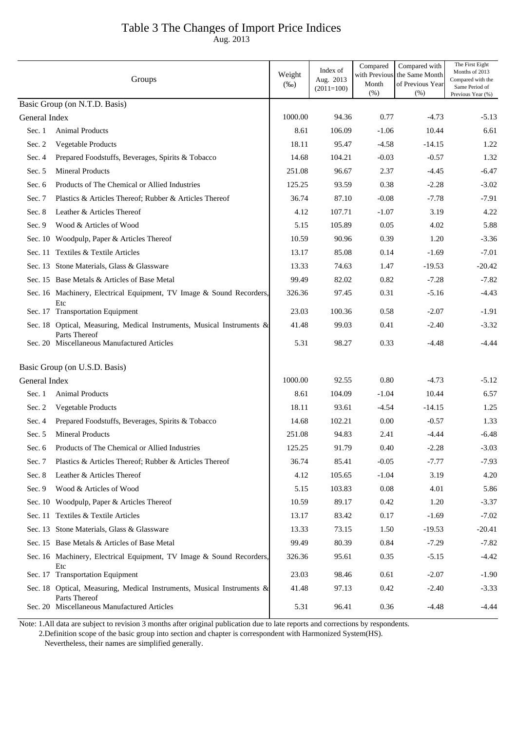## Table 3 The Changes of Import Price Indices

Aug. 2013

|               | Groups                                                                                  | Weight<br>$(\%0)$ | Index of<br>Aug. 2013<br>$(2011=100)$ | Compared<br>with Previous<br>Month<br>(% ) | Compared with<br>the Same Month<br>of Previous Year<br>(% ) | The First Eight<br>Months of 2013<br>Compared with the<br>Same Period of<br>Previous Year (%) |
|---------------|-----------------------------------------------------------------------------------------|-------------------|---------------------------------------|--------------------------------------------|-------------------------------------------------------------|-----------------------------------------------------------------------------------------------|
|               | Basic Group (on N.T.D. Basis)                                                           |                   |                                       |                                            |                                                             |                                                                                               |
| General Index |                                                                                         | 1000.00           | 94.36                                 | 0.77                                       | $-4.73$                                                     | $-5.13$                                                                                       |
| Sec. 1        | <b>Animal Products</b>                                                                  | 8.61              | 106.09                                | $-1.06$                                    | 10.44                                                       | 6.61                                                                                          |
| Sec. 2        | Vegetable Products                                                                      | 18.11             | 95.47                                 | $-4.58$                                    | $-14.15$                                                    | 1.22                                                                                          |
| Sec. 4        | Prepared Foodstuffs, Beverages, Spirits & Tobacco                                       | 14.68             | 104.21                                | $-0.03$                                    | $-0.57$                                                     | 1.32                                                                                          |
| Sec. 5        | <b>Mineral Products</b>                                                                 | 251.08            | 96.67                                 | 2.37                                       | $-4.45$                                                     | $-6.47$                                                                                       |
| Sec. 6        | Products of The Chemical or Allied Industries                                           | 125.25            | 93.59                                 | 0.38                                       | $-2.28$                                                     | $-3.02$                                                                                       |
| Sec. 7        | Plastics & Articles Thereof; Rubber & Articles Thereof                                  | 36.74             | 87.10                                 | $-0.08$                                    | $-7.78$                                                     | $-7.91$                                                                                       |
| Sec. 8        | Leather & Articles Thereof                                                              | 4.12              | 107.71                                | $-1.07$                                    | 3.19                                                        | 4.22                                                                                          |
| Sec. 9        | Wood & Articles of Wood                                                                 | 5.15              | 105.89                                | 0.05                                       | 4.02                                                        | 5.88                                                                                          |
|               | Sec. 10 Woodpulp, Paper & Articles Thereof                                              | 10.59             | 90.96                                 | 0.39                                       | 1.20                                                        | $-3.36$                                                                                       |
|               | Sec. 11 Textiles & Textile Articles                                                     | 13.17             | 85.08                                 | 0.14                                       | $-1.69$                                                     | $-7.01$                                                                                       |
|               | Sec. 13 Stone Materials, Glass & Glassware                                              | 13.33             | 74.63                                 | 1.47                                       | $-19.53$                                                    | $-20.42$                                                                                      |
|               | Sec. 15 Base Metals & Articles of Base Metal                                            | 99.49             | 82.02                                 | 0.82                                       | $-7.28$                                                     | $-7.82$                                                                                       |
|               | Sec. 16 Machinery, Electrical Equipment, TV Image & Sound Recorders,                    | 326.36            | 97.45                                 | 0.31                                       | $-5.16$                                                     | $-4.43$                                                                                       |
|               | Etc<br>Sec. 17 Transportation Equipment                                                 | 23.03             | 100.36                                | 0.58                                       | $-2.07$                                                     | $-1.91$                                                                                       |
|               | Sec. 18 Optical, Measuring, Medical Instruments, Musical Instruments &                  | 41.48             | 99.03                                 | 0.41                                       | $-2.40$                                                     | $-3.32$                                                                                       |
|               | Parts Thereof<br>Sec. 20 Miscellaneous Manufactured Articles                            | 5.31              | 98.27                                 | 0.33                                       | $-4.48$                                                     | $-4.44$                                                                                       |
|               | Basic Group (on U.S.D. Basis)                                                           |                   |                                       |                                            |                                                             |                                                                                               |
| General Index |                                                                                         | 1000.00           | 92.55                                 | 0.80                                       | $-4.73$                                                     | $-5.12$                                                                                       |
| Sec. 1        | <b>Animal Products</b>                                                                  | 8.61              | 104.09                                | $-1.04$                                    | 10.44                                                       | 6.57                                                                                          |
| Sec. 2        | Vegetable Products                                                                      | 18.11             | 93.61                                 | $-4.54$                                    | $-14.15$                                                    | 1.25                                                                                          |
| Sec. 4        | Prepared Foodstuffs, Beverages, Spirits & Tobacco                                       | 14.68             | 102.21                                | 0.00                                       | $-0.57$                                                     | 1.33                                                                                          |
| Sec. $5$      | <b>Mineral Products</b>                                                                 | 251.08            | 94.83                                 | 2.41                                       | $-4.44$                                                     | $-6.48$                                                                                       |
|               | Sec. 6 Products of The Chemical or Allied Industries                                    | 125.25            | 91.79                                 | 0.40                                       | $-2.28$                                                     | $-3.03$                                                                                       |
| Sec. 7        | Plastics & Articles Thereof; Rubber & Articles Thereof                                  | 36.74             | 85.41                                 | $-0.05$                                    | $-7.77$                                                     | $-7.93$                                                                                       |
| Sec. 8        | Leather & Articles Thereof                                                              | 4.12              | 105.65                                | $-1.04$                                    | 3.19                                                        | 4.20                                                                                          |
| Sec. $9$      | Wood & Articles of Wood                                                                 | 5.15              | 103.83                                | 0.08                                       | 4.01                                                        | 5.86                                                                                          |
|               | Sec. 10 Woodpulp, Paper & Articles Thereof                                              | 10.59             | 89.17                                 | 0.42                                       | 1.20                                                        | $-3.37$                                                                                       |
|               | Sec. 11 Textiles & Textile Articles                                                     | 13.17             | 83.42                                 | 0.17                                       | $-1.69$                                                     | $-7.02$                                                                                       |
|               | Sec. 13 Stone Materials, Glass & Glassware                                              | 13.33             | 73.15                                 | 1.50                                       | $-19.53$                                                    | $-20.41$                                                                                      |
|               | Sec. 15 Base Metals & Articles of Base Metal                                            | 99.49             | 80.39                                 | 0.84                                       | $-7.29$                                                     | $-7.82$                                                                                       |
|               | Sec. 16 Machinery, Electrical Equipment, TV Image & Sound Recorders,<br>Etc             | 326.36            | 95.61                                 | 0.35                                       | $-5.15$                                                     | $-4.42$                                                                                       |
|               | Sec. 17 Transportation Equipment                                                        | 23.03             | 98.46                                 | 0.61                                       | $-2.07$                                                     | $-1.90$                                                                                       |
|               | Sec. 18 Optical, Measuring, Medical Instruments, Musical Instruments &<br>Parts Thereof | 41.48             | 97.13                                 | 0.42                                       | $-2.40$                                                     | $-3.33$                                                                                       |
|               | Sec. 20 Miscellaneous Manufactured Articles                                             | 5.31              | 96.41                                 | 0.36                                       | $-4.48$                                                     | $-4.44$                                                                                       |

 2.Definition scope of the basic group into section and chapter is correspondent with Harmonized System(HS). Note: 1.All data are subject to revision 3 months after original publication due to late reports and corrections by respondents.

Nevertheless, their names are simplified generally.